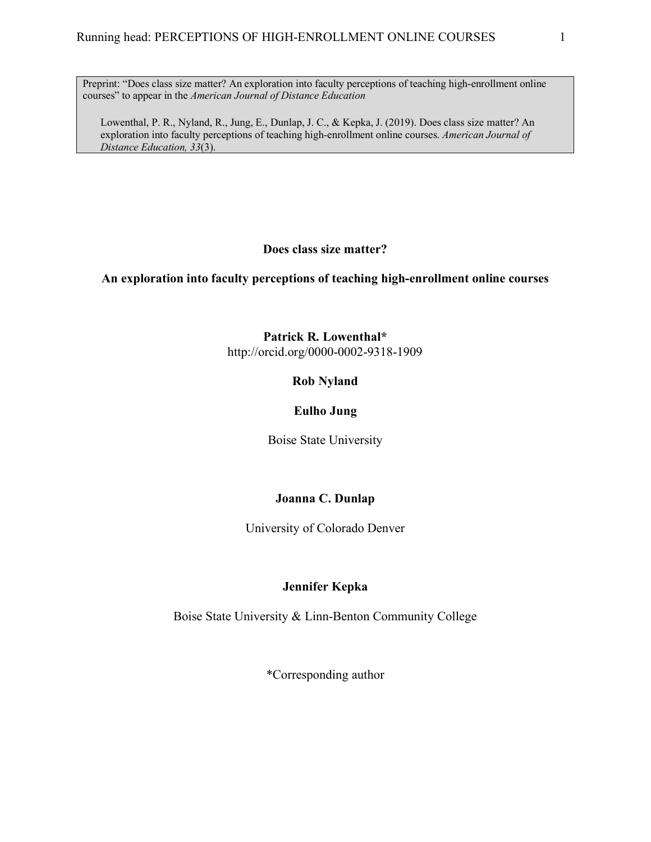Preprint: "Does class size matter? An exploration into faculty perceptions of teaching high-enrollment online courses" to appear in the *American Journal of Distance Education*

Lowenthal, P. R., Nyland, R., Jung, E., Dunlap, J. C., & Kepka, J. (2019). Does class size matter? An exploration into faculty perceptions of teaching high-enrollment online courses. *American Journal of Distance Education, 33*(3).

### **Does class size matter?**

**An exploration into faculty perceptions of teaching high-enrollment online courses**

**Patrick R. Lowenthal\*** http://orcid.org/0000-0002-9318-1909

### **Rob Nyland**

### **Eulho Jung**

Boise State University

## **Joanna C. Dunlap**

University of Colorado Denver

### **Jennifer Kepka**

Boise State University & Linn-Benton Community College

\*Corresponding author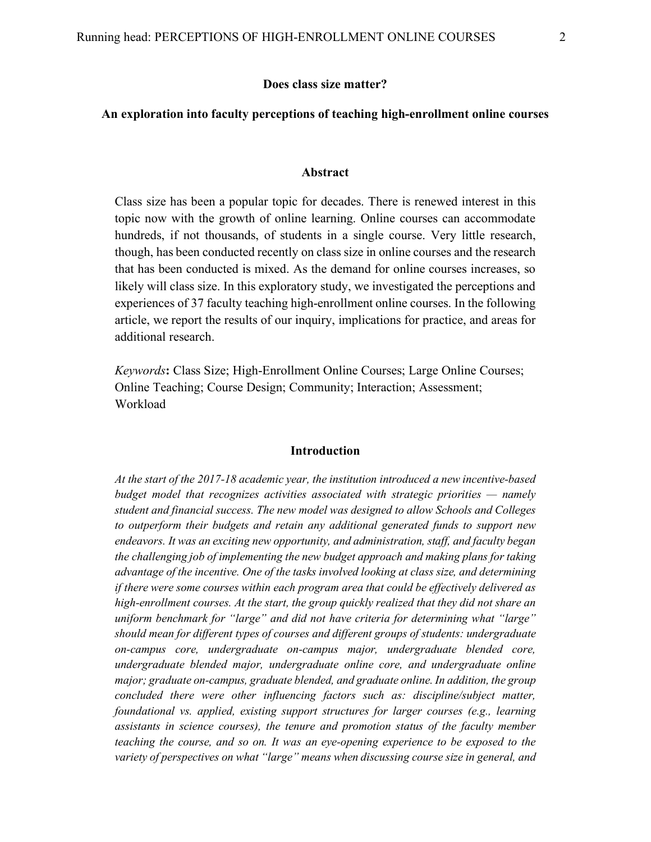### **An exploration into faculty perceptions of teaching high-enrollment online courses**

#### **Abstract**

Class size has been a popular topic for decades. There is renewed interest in this topic now with the growth of online learning. Online courses can accommodate hundreds, if not thousands, of students in a single course. Very little research, though, has been conducted recently on class size in online courses and the research that has been conducted is mixed. As the demand for online courses increases, so likely will class size. In this exploratory study, we investigated the perceptions and experiences of 37 faculty teaching high-enrollment online courses. In the following article, we report the results of our inquiry, implications for practice, and areas for additional research.

*Keywords***:** Class Size; High-Enrollment Online Courses; Large Online Courses; Online Teaching; Course Design; Community; Interaction; Assessment; Workload

#### **Introduction**

*At the start of the 2017-18 academic year, the institution introduced a new incentive-based budget model that recognizes activities associated with strategic priorities — namely student and financial success. The new model was designed to allow Schools and Colleges to outperform their budgets and retain any additional generated funds to support new endeavors. It was an exciting new opportunity, and administration, staff, and faculty began the challenging job of implementing the new budget approach and making plans for taking advantage of the incentive. One of the tasks involved looking at class size, and determining if there were some courses within each program area that could be effectively delivered as high-enrollment courses. At the start, the group quickly realized that they did not share an uniform benchmark for "large" and did not have criteria for determining what "large" should mean for different types of courses and different groups of students: undergraduate on-campus core, undergraduate on-campus major, undergraduate blended core, undergraduate blended major, undergraduate online core, and undergraduate online major; graduate on-campus, graduate blended, and graduate online. In addition, the group concluded there were other influencing factors such as: discipline/subject matter, foundational vs. applied, existing support structures for larger courses (e.g., learning assistants in science courses), the tenure and promotion status of the faculty member teaching the course, and so on. It was an eye-opening experience to be exposed to the variety of perspectives on what "large" means when discussing course size in general, and*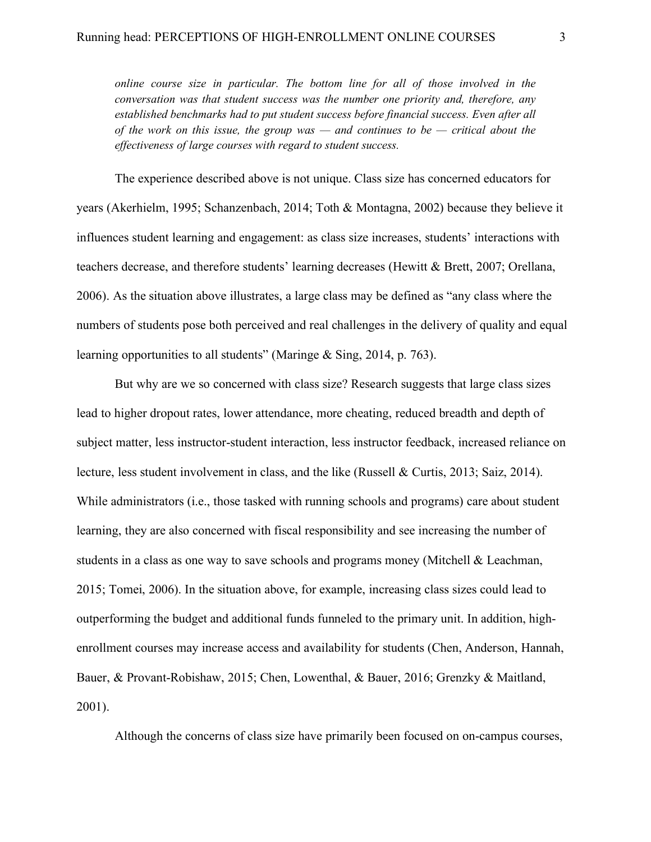*online course size in particular. The bottom line for all of those involved in the conversation was that student success was the number one priority and, therefore, any established benchmarks had to put student success before financial success. Even after all of the work on this issue, the group was — and continues to be — critical about the effectiveness of large courses with regard to student success.*

The experience described above is not unique. Class size has concerned educators for years (Akerhielm, 1995; Schanzenbach, 2014; Toth & Montagna, 2002) because they believe it influences student learning and engagement: as class size increases, students' interactions with teachers decrease, and therefore students' learning decreases (Hewitt & Brett, 2007; Orellana, 2006). As the situation above illustrates, a large class may be defined as "any class where the numbers of students pose both perceived and real challenges in the delivery of quality and equal learning opportunities to all students" (Maringe & Sing, 2014, p. 763).

But why are we so concerned with class size? Research suggests that large class sizes lead to higher dropout rates, lower attendance, more cheating, reduced breadth and depth of subject matter, less instructor-student interaction, less instructor feedback, increased reliance on lecture, less student involvement in class, and the like (Russell & Curtis, 2013; Saiz, 2014). While administrators (i.e., those tasked with running schools and programs) care about student learning, they are also concerned with fiscal responsibility and see increasing the number of students in a class as one way to save schools and programs money (Mitchell & Leachman, 2015; Tomei, 2006). In the situation above, for example, increasing class sizes could lead to outperforming the budget and additional funds funneled to the primary unit. In addition, highenrollment courses may increase access and availability for students (Chen, Anderson, Hannah, Bauer, & Provant-Robishaw, 2015; Chen, Lowenthal, & Bauer, 2016; Grenzky & Maitland, 2001).

Although the concerns of class size have primarily been focused on on-campus courses,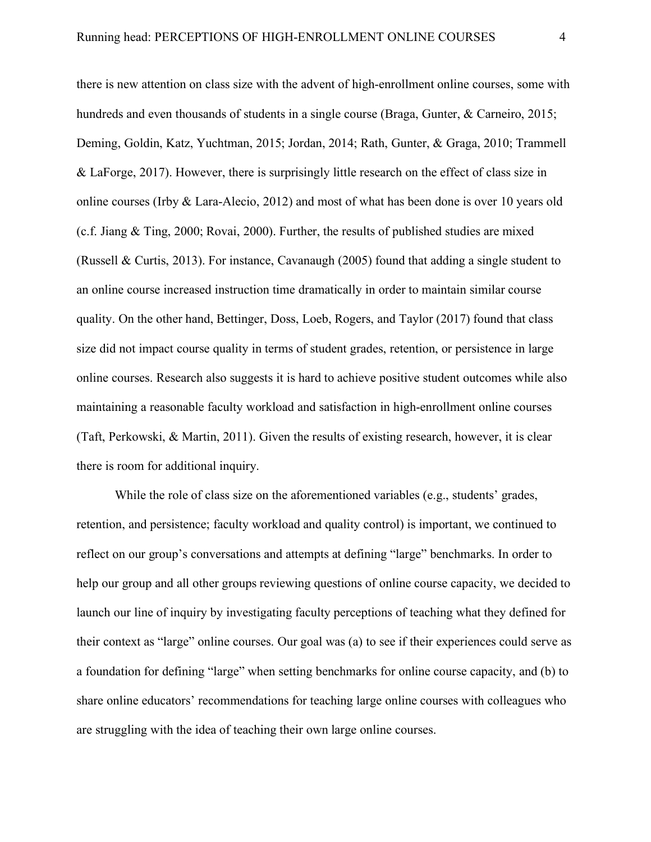there is new attention on class size with the advent of high-enrollment online courses, some with hundreds and even thousands of students in a single course (Braga, Gunter, & Carneiro, 2015; Deming, Goldin, Katz, Yuchtman, 2015; Jordan, 2014; Rath, Gunter, & Graga, 2010; Trammell & LaForge, 2017). However, there is surprisingly little research on the effect of class size in online courses (Irby & Lara-Alecio, 2012) and most of what has been done is over 10 years old (c.f. Jiang & Ting, 2000; Rovai, 2000). Further, the results of published studies are mixed (Russell & Curtis, 2013). For instance, Cavanaugh (2005) found that adding a single student to an online course increased instruction time dramatically in order to maintain similar course quality. On the other hand, Bettinger, Doss, Loeb, Rogers, and Taylor (2017) found that class size did not impact course quality in terms of student grades, retention, or persistence in large online courses. Research also suggests it is hard to achieve positive student outcomes while also maintaining a reasonable faculty workload and satisfaction in high-enrollment online courses (Taft, Perkowski, & Martin, 2011). Given the results of existing research, however, it is clear there is room for additional inquiry.

While the role of class size on the aforementioned variables (e.g., students' grades, retention, and persistence; faculty workload and quality control) is important, we continued to reflect on our group's conversations and attempts at defining "large" benchmarks. In order to help our group and all other groups reviewing questions of online course capacity, we decided to launch our line of inquiry by investigating faculty perceptions of teaching what they defined for their context as "large" online courses. Our goal was (a) to see if their experiences could serve as a foundation for defining "large" when setting benchmarks for online course capacity, and (b) to share online educators' recommendations for teaching large online courses with colleagues who are struggling with the idea of teaching their own large online courses.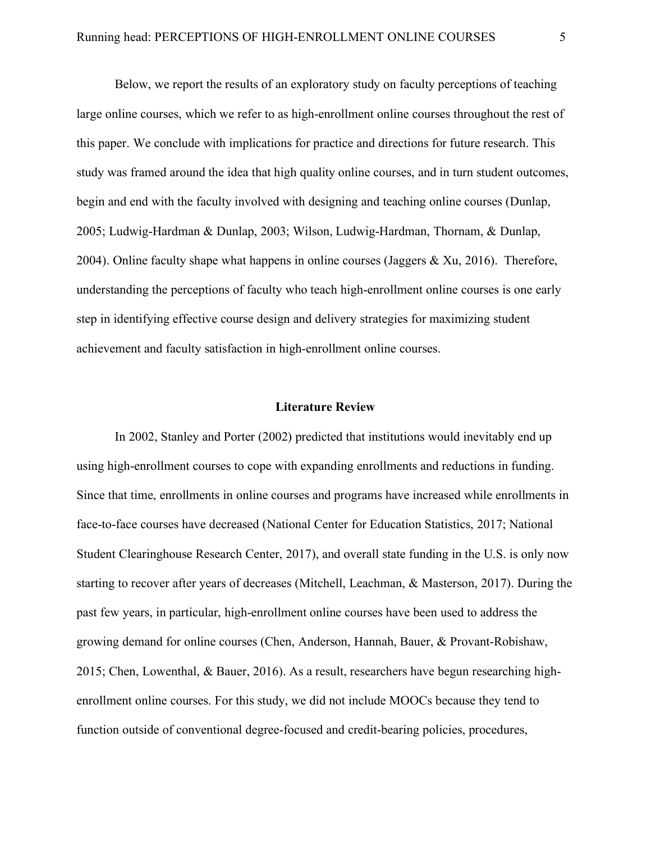Below, we report the results of an exploratory study on faculty perceptions of teaching large online courses, which we refer to as high-enrollment online courses throughout the rest of this paper. We conclude with implications for practice and directions for future research. This study was framed around the idea that high quality online courses, and in turn student outcomes, begin and end with the faculty involved with designing and teaching online courses (Dunlap, 2005; Ludwig-Hardman & Dunlap, 2003; Wilson, Ludwig-Hardman, Thornam, & Dunlap, 2004). Online faculty shape what happens in online courses (Jaggers  $\&$  Xu, 2016). Therefore, understanding the perceptions of faculty who teach high-enrollment online courses is one early step in identifying effective course design and delivery strategies for maximizing student achievement and faculty satisfaction in high-enrollment online courses.

#### **Literature Review**

In 2002, Stanley and Porter (2002) predicted that institutions would inevitably end up using high-enrollment courses to cope with expanding enrollments and reductions in funding. Since that time, enrollments in online courses and programs have increased while enrollments in face-to-face courses have decreased (National Center for Education Statistics, 2017; National Student Clearinghouse Research Center, 2017), and overall state funding in the U.S. is only now starting to recover after years of decreases (Mitchell, Leachman, & Masterson, 2017). During the past few years, in particular, high-enrollment online courses have been used to address the growing demand for online courses (Chen, Anderson, Hannah, Bauer, & Provant-Robishaw, 2015; Chen, Lowenthal, & Bauer, 2016). As a result, researchers have begun researching highenrollment online courses. For this study, we did not include MOOCs because they tend to function outside of conventional degree-focused and credit-bearing policies, procedures,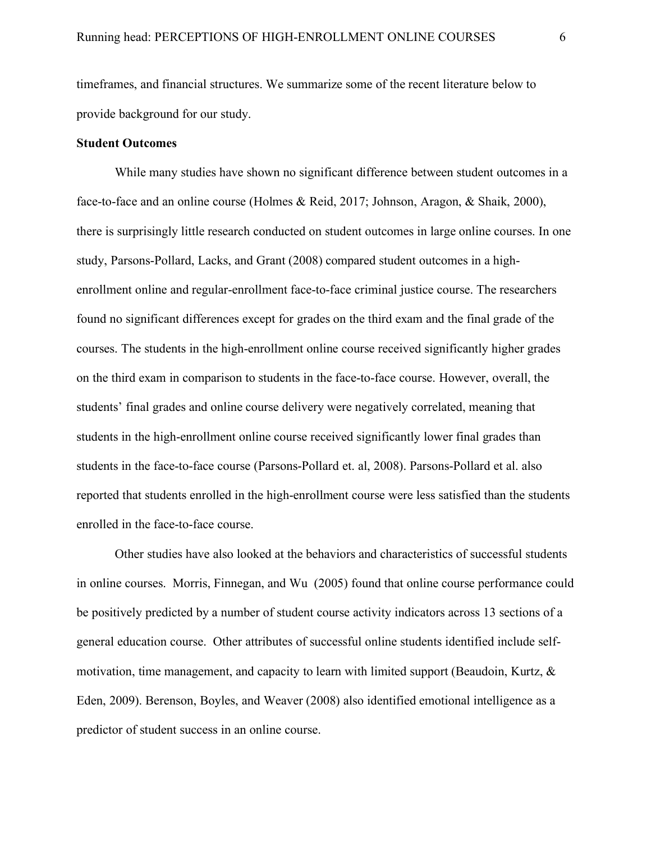timeframes, and financial structures. We summarize some of the recent literature below to provide background for our study.

### **Student Outcomes**

While many studies have shown no significant difference between student outcomes in a face-to-face and an online course (Holmes & Reid, 2017; Johnson, Aragon, & Shaik, 2000), there is surprisingly little research conducted on student outcomes in large online courses. In one study, Parsons-Pollard, Lacks, and Grant (2008) compared student outcomes in a highenrollment online and regular-enrollment face-to-face criminal justice course. The researchers found no significant differences except for grades on the third exam and the final grade of the courses. The students in the high-enrollment online course received significantly higher grades on the third exam in comparison to students in the face-to-face course. However, overall, the students' final grades and online course delivery were negatively correlated, meaning that students in the high-enrollment online course received significantly lower final grades than students in the face-to-face course (Parsons-Pollard et. al, 2008). Parsons-Pollard et al. also reported that students enrolled in the high-enrollment course were less satisfied than the students enrolled in the face-to-face course.

Other studies have also looked at the behaviors and characteristics of successful students in online courses. Morris, Finnegan, and Wu (2005) found that online course performance could be positively predicted by a number of student course activity indicators across 13 sections of a general education course. Other attributes of successful online students identified include selfmotivation, time management, and capacity to learn with limited support (Beaudoin, Kurtz, & Eden, 2009). Berenson, Boyles, and Weaver (2008) also identified emotional intelligence as a predictor of student success in an online course.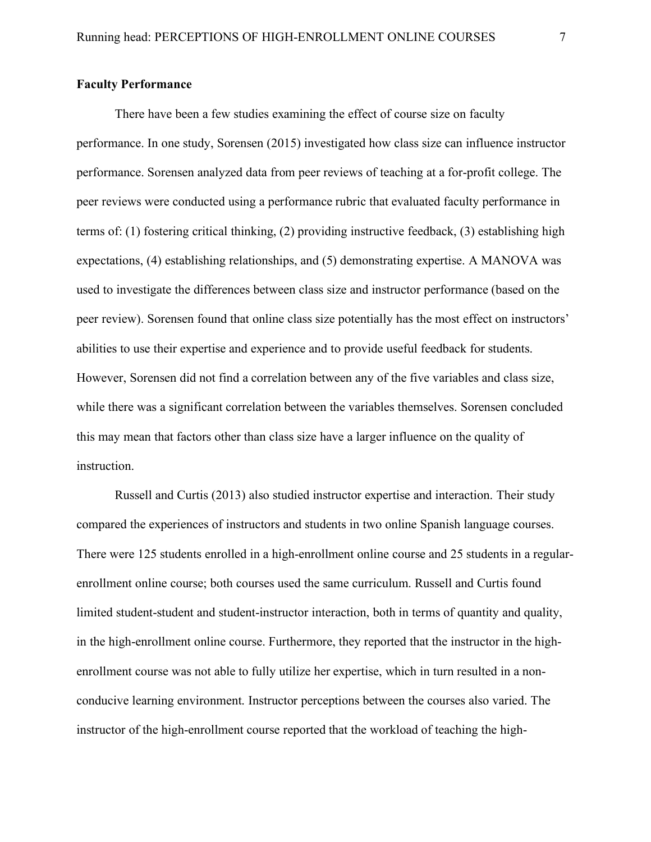### **Faculty Performance**

There have been a few studies examining the effect of course size on faculty performance. In one study, Sorensen (2015) investigated how class size can influence instructor performance. Sorensen analyzed data from peer reviews of teaching at a for-profit college. The peer reviews were conducted using a performance rubric that evaluated faculty performance in terms of: (1) fostering critical thinking, (2) providing instructive feedback, (3) establishing high expectations, (4) establishing relationships, and (5) demonstrating expertise. A MANOVA was used to investigate the differences between class size and instructor performance (based on the peer review). Sorensen found that online class size potentially has the most effect on instructors' abilities to use their expertise and experience and to provide useful feedback for students. However, Sorensen did not find a correlation between any of the five variables and class size, while there was a significant correlation between the variables themselves. Sorensen concluded this may mean that factors other than class size have a larger influence on the quality of instruction.

Russell and Curtis (2013) also studied instructor expertise and interaction. Their study compared the experiences of instructors and students in two online Spanish language courses. There were 125 students enrolled in a high-enrollment online course and 25 students in a regularenrollment online course; both courses used the same curriculum. Russell and Curtis found limited student-student and student-instructor interaction, both in terms of quantity and quality, in the high-enrollment online course. Furthermore, they reported that the instructor in the highenrollment course was not able to fully utilize her expertise, which in turn resulted in a nonconducive learning environment. Instructor perceptions between the courses also varied. The instructor of the high-enrollment course reported that the workload of teaching the high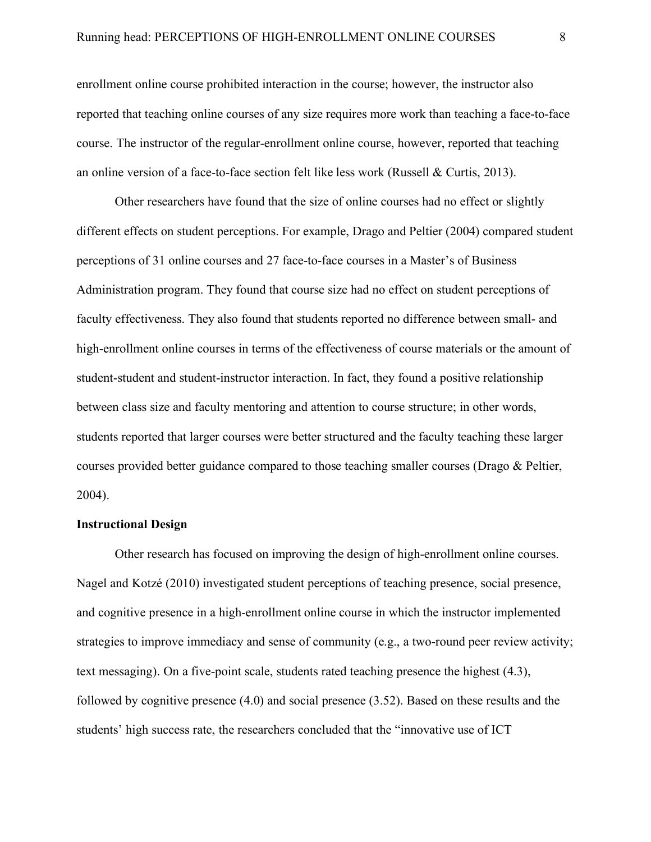enrollment online course prohibited interaction in the course; however, the instructor also reported that teaching online courses of any size requires more work than teaching a face-to-face course. The instructor of the regular-enrollment online course, however, reported that teaching an online version of a face-to-face section felt like less work (Russell & Curtis, 2013).

Other researchers have found that the size of online courses had no effect or slightly different effects on student perceptions. For example, Drago and Peltier (2004) compared student perceptions of 31 online courses and 27 face-to-face courses in a Master's of Business Administration program. They found that course size had no effect on student perceptions of faculty effectiveness. They also found that students reported no difference between small- and high-enrollment online courses in terms of the effectiveness of course materials or the amount of student-student and student-instructor interaction. In fact, they found a positive relationship between class size and faculty mentoring and attention to course structure; in other words, students reported that larger courses were better structured and the faculty teaching these larger courses provided better guidance compared to those teaching smaller courses (Drago & Peltier, 2004).

### **Instructional Design**

Other research has focused on improving the design of high-enrollment online courses. Nagel and Kotzé (2010) investigated student perceptions of teaching presence, social presence, and cognitive presence in a high-enrollment online course in which the instructor implemented strategies to improve immediacy and sense of community (e.g., a two-round peer review activity; text messaging). On a five-point scale, students rated teaching presence the highest (4.3), followed by cognitive presence (4.0) and social presence (3.52). Based on these results and the students' high success rate, the researchers concluded that the "innovative use of ICT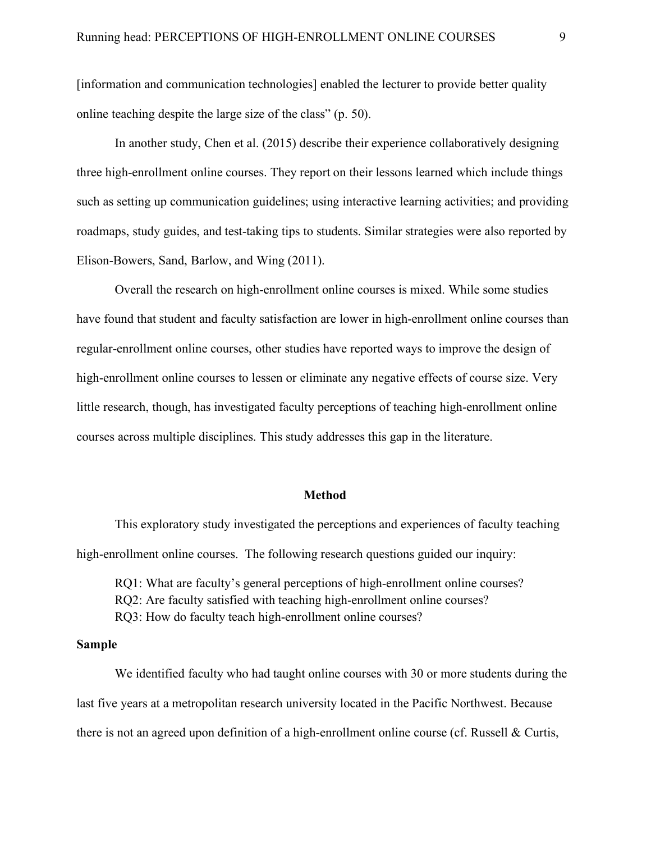[information and communication technologies] enabled the lecturer to provide better quality online teaching despite the large size of the class" (p. 50).

In another study, Chen et al. (2015) describe their experience collaboratively designing three high-enrollment online courses. They report on their lessons learned which include things such as setting up communication guidelines; using interactive learning activities; and providing roadmaps, study guides, and test-taking tips to students. Similar strategies were also reported by Elison-Bowers, Sand, Barlow, and Wing (2011).

Overall the research on high-enrollment online courses is mixed. While some studies have found that student and faculty satisfaction are lower in high-enrollment online courses than regular-enrollment online courses, other studies have reported ways to improve the design of high-enrollment online courses to lessen or eliminate any negative effects of course size. Very little research, though, has investigated faculty perceptions of teaching high-enrollment online courses across multiple disciplines. This study addresses this gap in the literature.

### **Method**

This exploratory study investigated the perceptions and experiences of faculty teaching high-enrollment online courses. The following research questions guided our inquiry:

RQ1: What are faculty's general perceptions of high-enrollment online courses? RQ2: Are faculty satisfied with teaching high-enrollment online courses? RQ3: How do faculty teach high-enrollment online courses?

### **Sample**

We identified faculty who had taught online courses with 30 or more students during the last five years at a metropolitan research university located in the Pacific Northwest. Because there is not an agreed upon definition of a high-enrollment online course (cf. Russell & Curtis,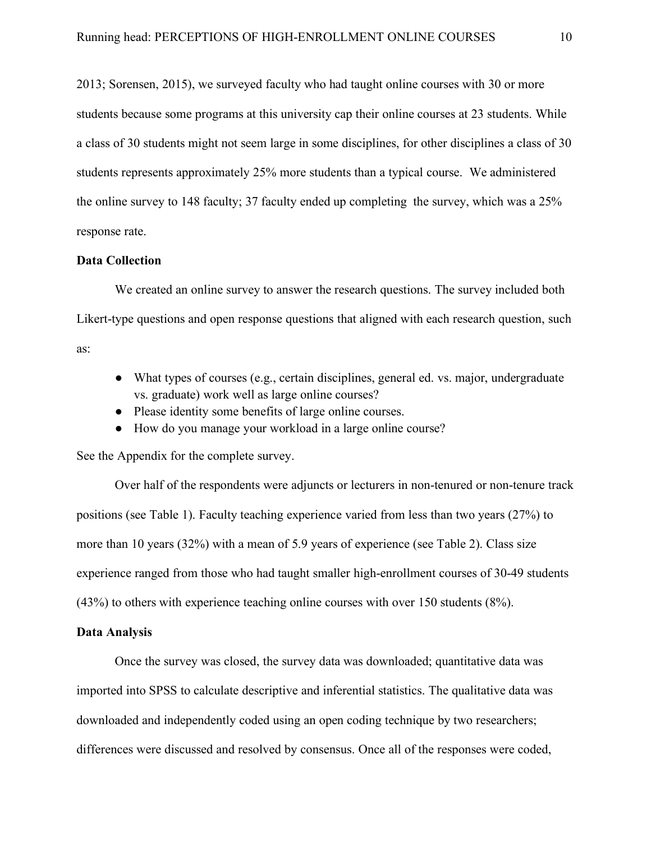2013; Sorensen, 2015), we surveyed faculty who had taught online courses with 30 or more students because some programs at this university cap their online courses at 23 students. While a class of 30 students might not seem large in some disciplines, for other disciplines a class of 30 students represents approximately 25% more students than a typical course. We administered the online survey to 148 faculty; 37 faculty ended up completing the survey, which was a 25% response rate.

### **Data Collection**

We created an online survey to answer the research questions. The survey included both Likert-type questions and open response questions that aligned with each research question, such as:

- $\bullet$  What types of courses (e.g., certain disciplines, general ed. vs. major, undergraduate vs. graduate) work well as large online courses?
- Please identity some benefits of large online courses.
- How do you manage your workload in a large online course?

See the Appendix for the complete survey.

Over half of the respondents were adjuncts or lecturers in non-tenured or non-tenure track positions (see Table 1). Faculty teaching experience varied from less than two years (27%) to more than 10 years (32%) with a mean of 5.9 years of experience (see Table 2). Class size experience ranged from those who had taught smaller high-enrollment courses of 30-49 students (43%) to others with experience teaching online courses with over 150 students (8%).

### **Data Analysis**

Once the survey was closed, the survey data was downloaded; quantitative data was imported into SPSS to calculate descriptive and inferential statistics. The qualitative data was downloaded and independently coded using an open coding technique by two researchers; differences were discussed and resolved by consensus. Once all of the responses were coded,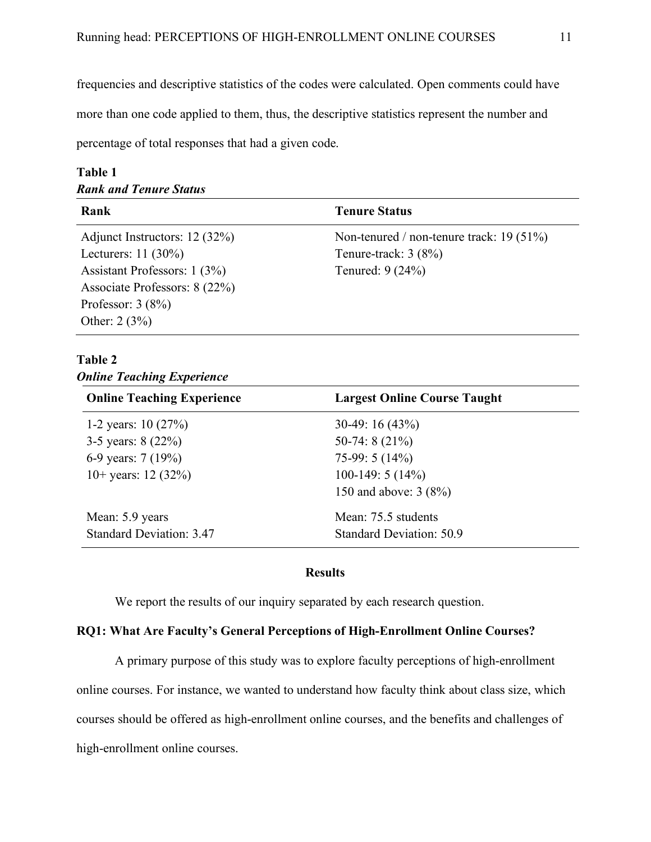frequencies and descriptive statistics of the codes were calculated. Open comments could have more than one code applied to them, thus, the descriptive statistics represent the number and percentage of total responses that had a given code.

# **Table 1** *Rank and Tenure Status*

| Rank                          | <b>Tenure Status</b>                       |
|-------------------------------|--------------------------------------------|
| Adjunct Instructors: 12 (32%) | Non-tenured / non-tenure track: $19(51\%)$ |
| Lecturers: $11 (30\%)$        | Tenure-track: $3(8\%)$                     |
| Assistant Professors: 1 (3%)  | Tenured: 9 (24%)                           |
| Associate Professors: 8 (22%) |                                            |
| Professor: $3(8\%)$           |                                            |
| Other: $2(3%)$                |                                            |

## **Table 2** *Online Teaching Experience*

| <b>Online Teaching Experience</b> | <b>Largest Online Course Taught</b> |
|-----------------------------------|-------------------------------------|
| 1-2 years: $10(27%)$              | $30-49: 16(43%)$                    |
| 3-5 years: $8(22%)$               | 50-74: $8(21\%)$                    |
| 6-9 years: 7 (19%)                | 75-99: 5 $(14\%)$                   |
| 10+ years: 12 (32%)               | 100-149: $5(14\%)$                  |
|                                   | 150 and above: 3 (8%)               |
| Mean: 5.9 years                   | Mean: 75.5 students                 |
| <b>Standard Deviation: 3.47</b>   | <b>Standard Deviation: 50.9</b>     |

## **Results**

We report the results of our inquiry separated by each research question.

## **RQ1: What Are Faculty's General Perceptions of High-Enrollment Online Courses?**

A primary purpose of this study was to explore faculty perceptions of high-enrollment online courses. For instance, we wanted to understand how faculty think about class size, which courses should be offered as high-enrollment online courses, and the benefits and challenges of high-enrollment online courses.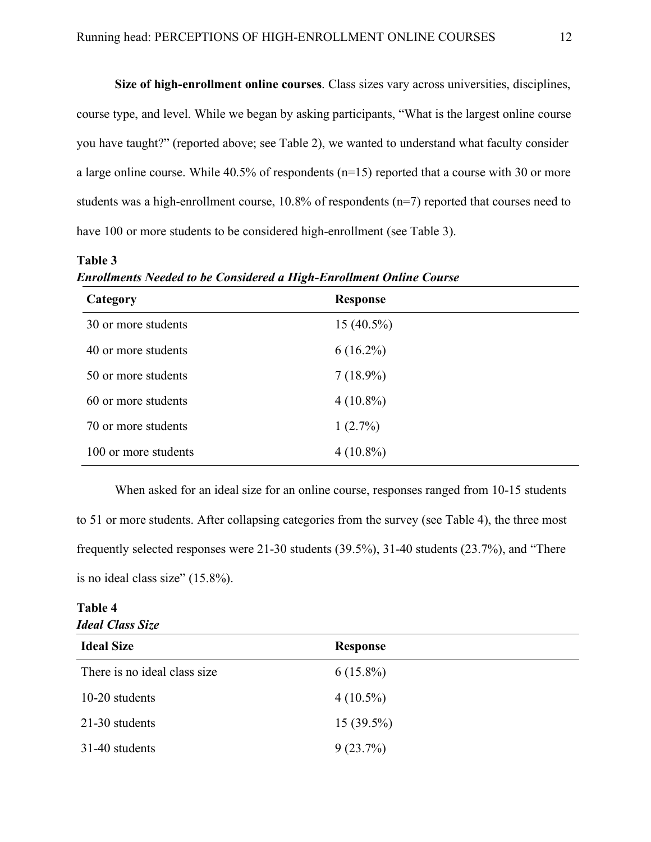**Size of high-enrollment online courses**. Class sizes vary across universities, disciplines, course type, and level. While we began by asking participants, "What is the largest online course you have taught?" (reported above; see Table 2), we wanted to understand what faculty consider a large online course. While 40.5% of respondents (n=15) reported that a course with 30 or more students was a high-enrollment course, 10.8% of respondents (n=7) reported that courses need to have 100 or more students to be considered high-enrollment (see Table 3).

**Table 3** *Enrollments Needed to be Considered a High-Enrollment Online Course*

| Category             | <b>Response</b> |
|----------------------|-----------------|
| 30 or more students  | $15(40.5\%)$    |
| 40 or more students  | $6(16.2\%)$     |
| 50 or more students  | $7(18.9\%)$     |
| 60 or more students  | $4(10.8\%)$     |
| 70 or more students  | $1(2.7\%)$      |
| 100 or more students | $4(10.8\%)$     |

When asked for an ideal size for an online course, responses ranged from 10-15 students to 51 or more students. After collapsing categories from the survey (see Table 4), the three most frequently selected responses were 21-30 students (39.5%), 31-40 students (23.7%), and "There is no ideal class size" (15.8%).

## **Table 4** *Ideal Class Size*

| <b>Ideal Size</b>            | <b>Response</b> |
|------------------------------|-----------------|
| There is no ideal class size | $6(15.8\%)$     |
| 10-20 students               | $4(10.5\%)$     |
| 21-30 students               | $15(39.5\%)$    |
| 31-40 students               | 9(23.7%)        |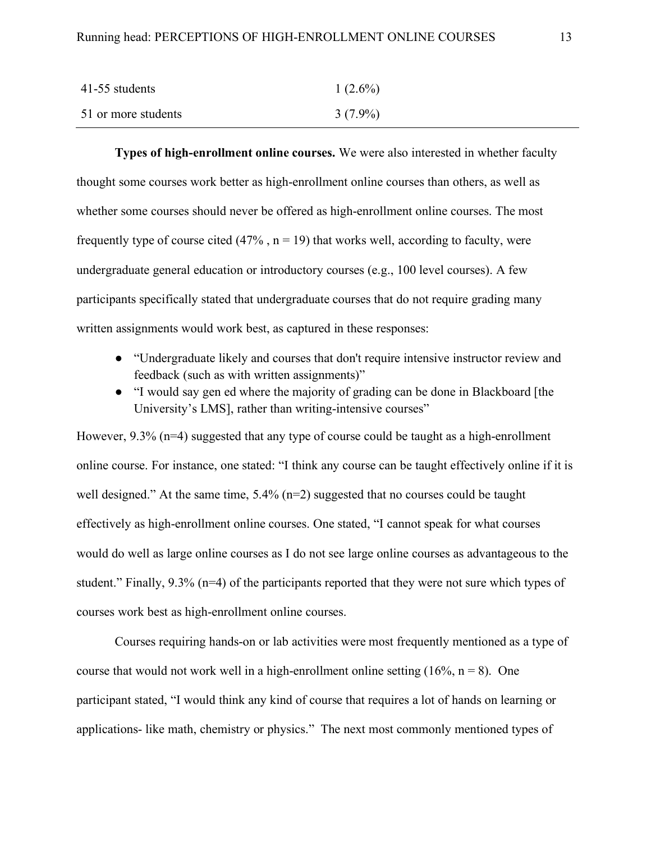| 41-55 students      | $1(2.6\%)$ |
|---------------------|------------|
| 51 or more students | $3(7.9\%)$ |

**Types of high-enrollment online courses.** We were also interested in whether faculty thought some courses work better as high-enrollment online courses than others, as well as whether some courses should never be offered as high-enrollment online courses. The most frequently type of course cited  $(47\%$ ,  $n = 19)$  that works well, according to faculty, were undergraduate general education or introductory courses (e.g., 100 level courses). A few participants specifically stated that undergraduate courses that do not require grading many written assignments would work best, as captured in these responses:

- "Undergraduate likely and courses that don't require intensive instructor review and feedback (such as with written assignments)"
- "I would say gen ed where the majority of grading can be done in Blackboard [the University's LMS], rather than writing-intensive courses"

However, 9.3% (n=4) suggested that any type of course could be taught as a high-enrollment online course. For instance, one stated: "I think any course can be taught effectively online if it is well designed." At the same time,  $5.4\%$  (n=2) suggested that no courses could be taught effectively as high-enrollment online courses. One stated, "I cannot speak for what courses would do well as large online courses as I do not see large online courses as advantageous to the student." Finally, 9.3% (n=4) of the participants reported that they were not sure which types of courses work best as high-enrollment online courses.

Courses requiring hands-on or lab activities were most frequently mentioned as a type of course that would not work well in a high-enrollment online setting  $(16\%, n = 8)$ . One participant stated, "I would think any kind of course that requires a lot of hands on learning or applications- like math, chemistry or physics." The next most commonly mentioned types of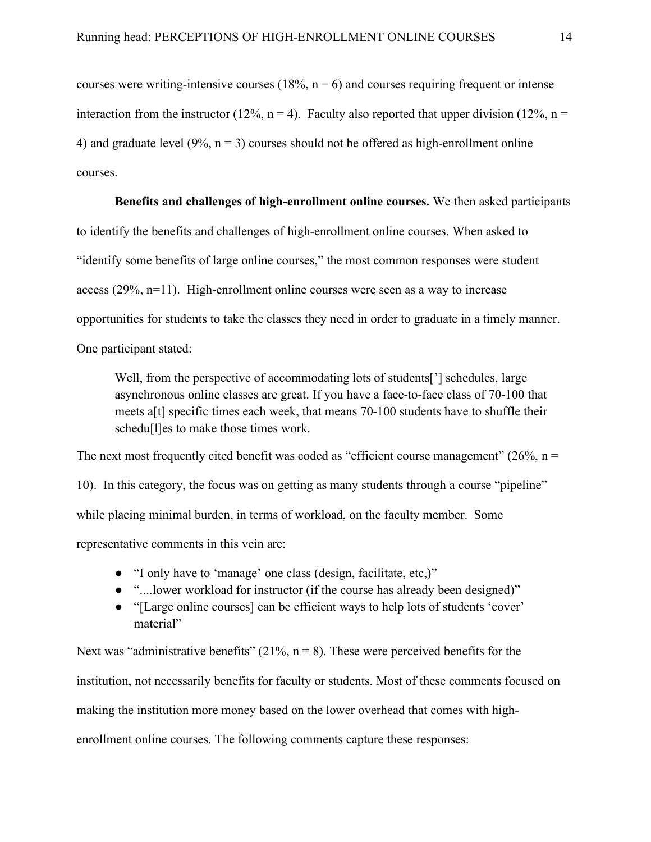courses were writing-intensive courses (18%,  $n = 6$ ) and courses requiring frequent or intense interaction from the instructor (12%,  $n = 4$ ). Faculty also reported that upper division (12%,  $n =$ 4) and graduate level (9%,  $n = 3$ ) courses should not be offered as high-enrollment online courses.

### **Benefits and challenges of high-enrollment online courses.** We then asked participants

to identify the benefits and challenges of high-enrollment online courses. When asked to "identify some benefits of large online courses," the most common responses were student access (29%, n=11). High-enrollment online courses were seen as a way to increase opportunities for students to take the classes they need in order to graduate in a timely manner. One participant stated:

Well, from the perspective of accommodating lots of students['] schedules, large asynchronous online classes are great. If you have a face-to-face class of 70-100 that meets a[t] specific times each week, that means 70-100 students have to shuffle their schedu[l]es to make those times work.

The next most frequently cited benefit was coded as "efficient course management" ( $26\%$ , n = 10). In this category, the focus was on getting as many students through a course "pipeline" while placing minimal burden, in terms of workload, on the faculty member. Some representative comments in this vein are:

- "I only have to 'manage' one class (design, facilitate, etc,)"
- "....lower workload for instructor (if the course has already been designed)"
- "[Large online courses] can be efficient ways to help lots of students 'cover' material"

Next was "administrative benefits"  $(21\%, n=8)$ . These were perceived benefits for the institution, not necessarily benefits for faculty or students. Most of these comments focused on making the institution more money based on the lower overhead that comes with highenrollment online courses. The following comments capture these responses: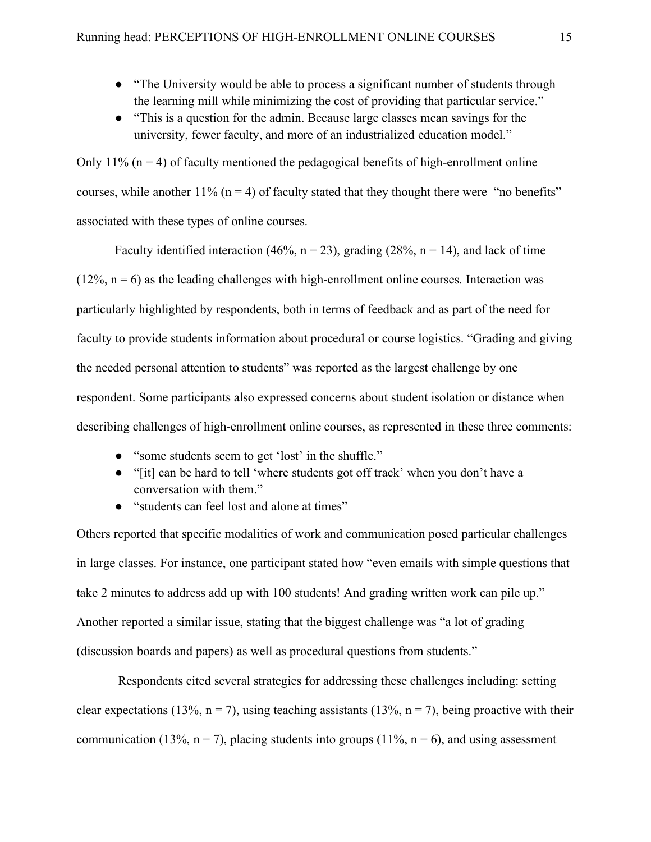- "The University would be able to process a significant number of students through the learning mill while minimizing the cost of providing that particular service."
- "This is a question for the admin. Because large classes mean savings for the university, fewer faculty, and more of an industrialized education model."

Only 11%  $(n = 4)$  of faculty mentioned the pedagogical benefits of high-enrollment online courses, while another  $11\%$  (n = 4) of faculty stated that they thought there were "no benefits" associated with these types of online courses.

Faculty identified interaction (46%,  $n = 23$ ), grading (28%,  $n = 14$ ), and lack of time  $(12\%, n = 6)$  as the leading challenges with high-enrollment online courses. Interaction was particularly highlighted by respondents, both in terms of feedback and as part of the need for faculty to provide students information about procedural or course logistics. "Grading and giving the needed personal attention to students" was reported as the largest challenge by one respondent. Some participants also expressed concerns about student isolation or distance when describing challenges of high-enrollment online courses, as represented in these three comments:

- "some students seem to get 'lost' in the shuffle."
- "[it] can be hard to tell 'where students got off track' when you don't have a conversation with them."
- "students can feel lost and alone at times"

Others reported that specific modalities of work and communication posed particular challenges in large classes. For instance, one participant stated how "even emails with simple questions that take 2 minutes to address add up with 100 students! And grading written work can pile up." Another reported a similar issue, stating that the biggest challenge was "a lot of grading (discussion boards and papers) as well as procedural questions from students."

Respondents cited several strategies for addressing these challenges including: setting clear expectations (13%,  $n = 7$ ), using teaching assistants (13%,  $n = 7$ ), being proactive with their communication (13%,  $n = 7$ ), placing students into groups (11%,  $n = 6$ ), and using assessment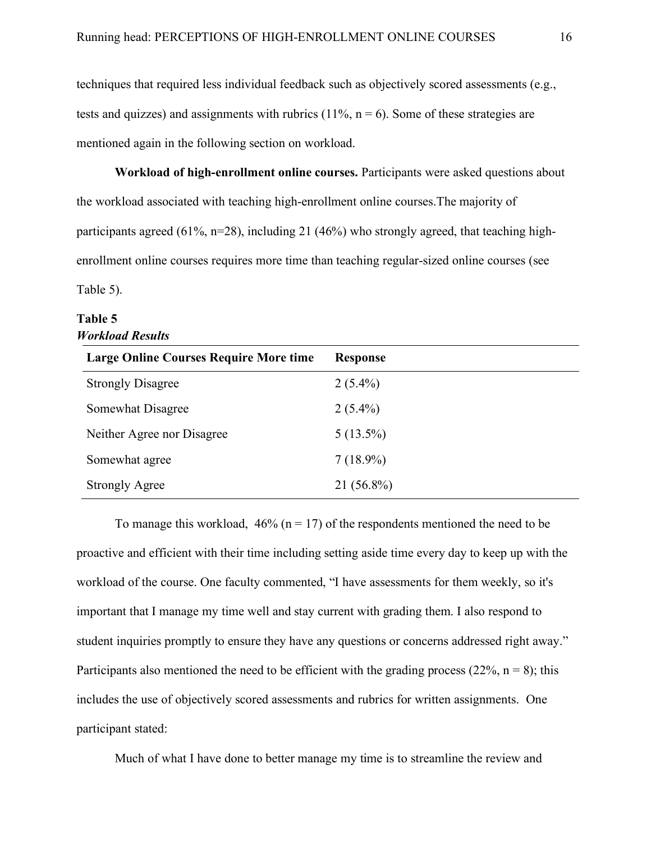techniques that required less individual feedback such as objectively scored assessments (e.g., tests and quizzes) and assignments with rubrics  $(11\%$ ,  $n = 6)$ . Some of these strategies are mentioned again in the following section on workload.

**Workload of high-enrollment online courses.** Participants were asked questions about the workload associated with teaching high-enrollment online courses.The majority of participants agreed (61%, n=28), including 21 (46%) who strongly agreed, that teaching highenrollment online courses requires more time than teaching regular-sized online courses (see Table 5).

# **Table 5** *Workload Results*

| <b>Large Online Courses Require More time</b> | <b>Response</b> |
|-----------------------------------------------|-----------------|
| <b>Strongly Disagree</b>                      | $2(5.4\%)$      |
| Somewhat Disagree                             | $2(5.4\%)$      |
| Neither Agree nor Disagree                    | $5(13.5\%)$     |
| Somewhat agree                                | $7(18.9\%)$     |
| <b>Strongly Agree</b>                         | $21(56.8\%)$    |

To manage this workload,  $46\%$  (n = 17) of the respondents mentioned the need to be proactive and efficient with their time including setting aside time every day to keep up with the workload of the course. One faculty commented, "I have assessments for them weekly, so it's important that I manage my time well and stay current with grading them. I also respond to student inquiries promptly to ensure they have any questions or concerns addressed right away." Participants also mentioned the need to be efficient with the grading process (22%,  $n = 8$ ); this includes the use of objectively scored assessments and rubrics for written assignments. One participant stated:

Much of what I have done to better manage my time is to streamline the review and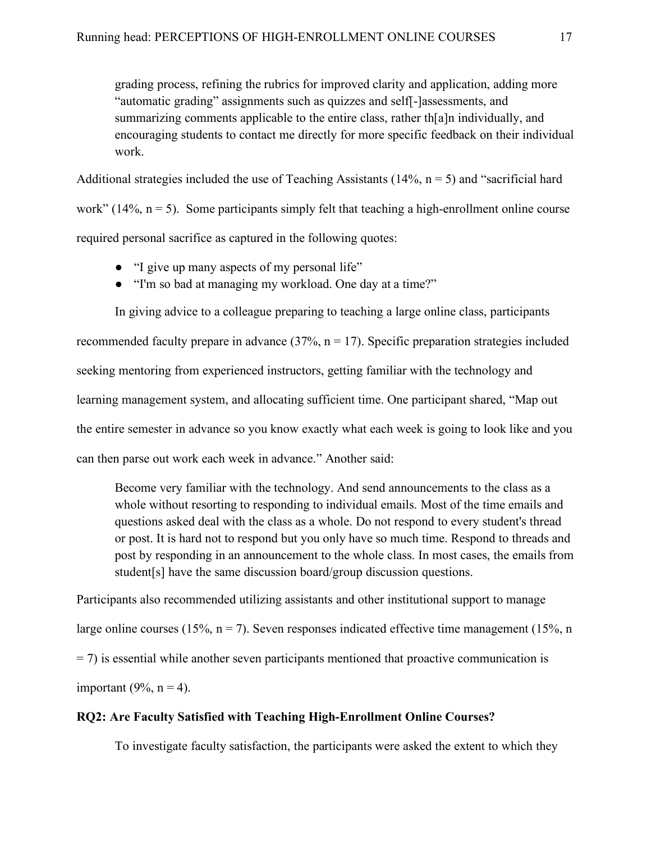grading process, refining the rubrics for improved clarity and application, adding more "automatic grading" assignments such as quizzes and self[-]assessments, and summarizing comments applicable to the entire class, rather th[a]n individually, and encouraging students to contact me directly for more specific feedback on their individual work.

Additional strategies included the use of Teaching Assistants ( $14\%$ ,  $n = 5$ ) and "sacrificial hard work" (14%,  $n = 5$ ). Some participants simply felt that teaching a high-enrollment online course required personal sacrifice as captured in the following quotes:

- "I give up many aspects of my personal life"
- "I'm so bad at managing my workload. One day at a time?"

In giving advice to a colleague preparing to teaching a large online class, participants recommended faculty prepare in advance  $(37\% \text{ n} = 17)$ . Specific preparation strategies included seeking mentoring from experienced instructors, getting familiar with the technology and learning management system, and allocating sufficient time. One participant shared, "Map out the entire semester in advance so you know exactly what each week is going to look like and you can then parse out work each week in advance." Another said:

Become very familiar with the technology. And send announcements to the class as a whole without resorting to responding to individual emails. Most of the time emails and questions asked deal with the class as a whole. Do not respond to every student's thread or post. It is hard not to respond but you only have so much time. Respond to threads and post by responding in an announcement to the whole class. In most cases, the emails from student[s] have the same discussion board/group discussion questions.

Participants also recommended utilizing assistants and other institutional support to manage large online courses (15%,  $n = 7$ ). Seven responses indicated effective time management (15%, n  $=$  7) is essential while another seven participants mentioned that proactive communication is important (9%,  $n = 4$ ).

### **RQ2: Are Faculty Satisfied with Teaching High-Enrollment Online Courses?**

To investigate faculty satisfaction, the participants were asked the extent to which they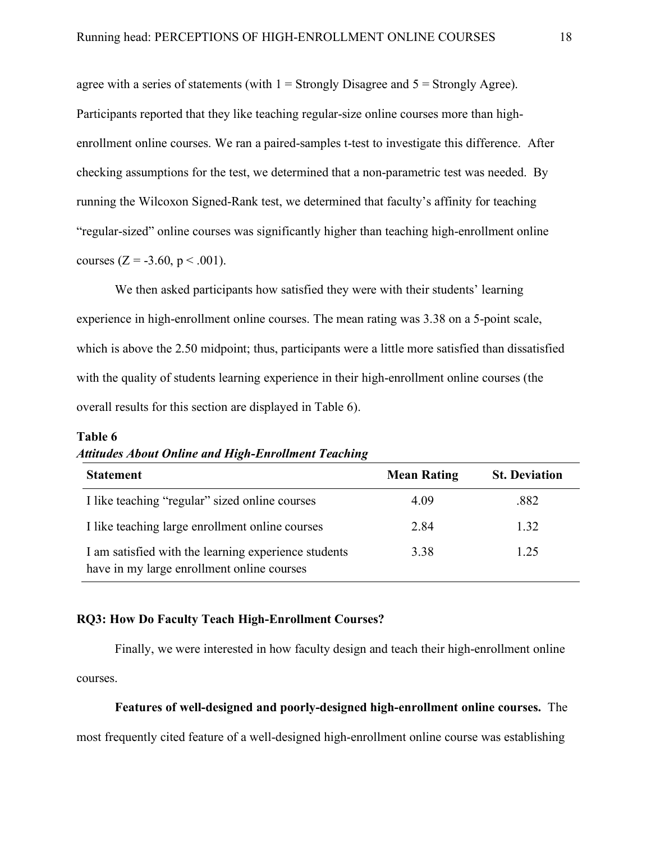agree with a series of statements (with  $1 =$  Strongly Disagree and  $5 =$  Strongly Agree). Participants reported that they like teaching regular-size online courses more than highenrollment online courses. We ran a paired-samples t-test to investigate this difference. After checking assumptions for the test, we determined that a non-parametric test was needed. By running the Wilcoxon Signed-Rank test, we determined that faculty's affinity for teaching "regular-sized" online courses was significantly higher than teaching high-enrollment online courses  $(Z = -3.60, p < .001)$ .

We then asked participants how satisfied they were with their students' learning experience in high-enrollment online courses. The mean rating was 3.38 on a 5-point scale, which is above the 2.50 midpoint; thus, participants were a little more satisfied than dissatisfied with the quality of students learning experience in their high-enrollment online courses (the overall results for this section are displayed in Table 6).

| <b>Statement</b>                                                                                   | <b>Mean Rating</b> | <b>St. Deviation</b> |
|----------------------------------------------------------------------------------------------------|--------------------|----------------------|
| I like teaching "regular" sized online courses                                                     | 4.09               | .882                 |
| I like teaching large enrollment online courses                                                    | 2.84               | 1 32                 |
| I am satisfied with the learning experience students<br>have in my large enrollment online courses | 3.38               | 1 25                 |

**Table 6** *Attitudes About Online and High-Enrollment Teaching*

## **RQ3: How Do Faculty Teach High-Enrollment Courses?**

Finally, we were interested in how faculty design and teach their high-enrollment online courses.

## **Features of well-designed and poorly-designed high-enrollment online courses.** The

most frequently cited feature of a well-designed high-enrollment online course was establishing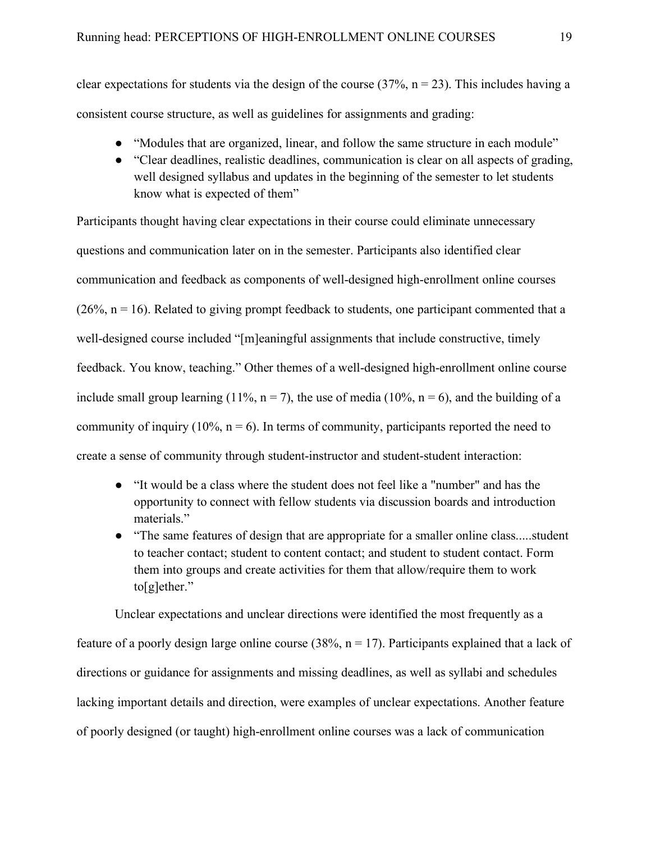clear expectations for students via the design of the course  $(37\%$ , n = 23). This includes having a consistent course structure, as well as guidelines for assignments and grading:

- "Modules that are organized, linear, and follow the same structure in each module"
- "Clear deadlines, realistic deadlines, communication is clear on all aspects of grading, well designed syllabus and updates in the beginning of the semester to let students know what is expected of them"

Participants thought having clear expectations in their course could eliminate unnecessary questions and communication later on in the semester. Participants also identified clear communication and feedback as components of well-designed high-enrollment online courses  $(26\%, n = 16)$ . Related to giving prompt feedback to students, one participant commented that a well-designed course included "[m]eaningful assignments that include constructive, timely feedback. You know, teaching." Other themes of a well-designed high-enrollment online course include small group learning (11%,  $n = 7$ ), the use of media (10%,  $n = 6$ ), and the building of a community of inquiry (10%,  $n = 6$ ). In terms of community, participants reported the need to create a sense of community through student-instructor and student-student interaction:

- "It would be a class where the student does not feel like a "number" and has the opportunity to connect with fellow students via discussion boards and introduction materials."
- "The same features of design that are appropriate for a smaller online class.....student to teacher contact; student to content contact; and student to student contact. Form them into groups and create activities for them that allow/require them to work to[g]ether."

Unclear expectations and unclear directions were identified the most frequently as a feature of a poorly design large online course  $(38\%, n = 17)$ . Participants explained that a lack of directions or guidance for assignments and missing deadlines, as well as syllabi and schedules lacking important details and direction, were examples of unclear expectations. Another feature of poorly designed (or taught) high-enrollment online courses was a lack of communication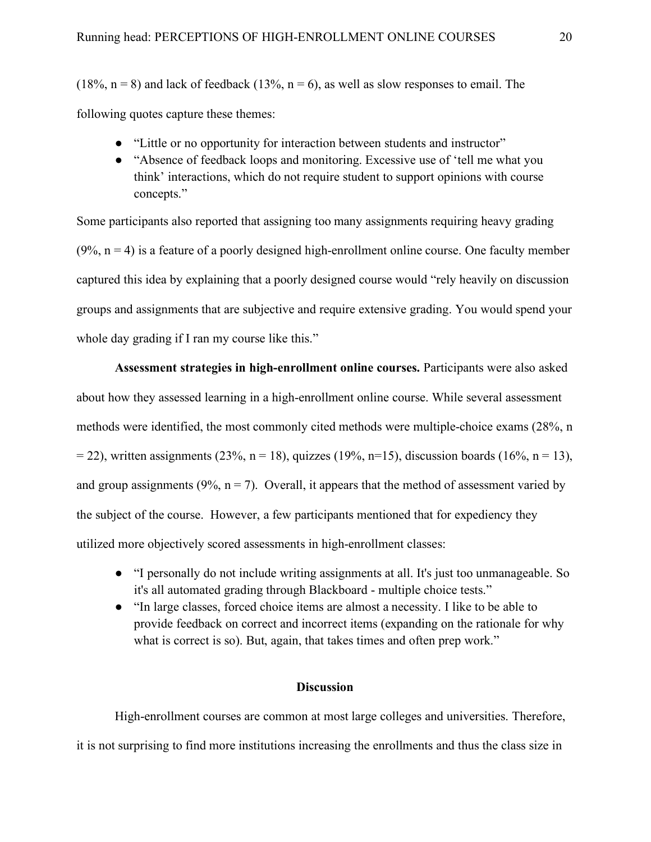$(18\%, n = 8)$  and lack of feedback  $(13\%, n = 6)$ , as well as slow responses to email. The following quotes capture these themes:

- "Little or no opportunity for interaction between students and instructor"
- "Absence of feedback loops and monitoring. Excessive use of 'tell me what you think' interactions, which do not require student to support opinions with course concepts."

Some participants also reported that assigning too many assignments requiring heavy grading  $(9\%, n = 4)$  is a feature of a poorly designed high-enrollment online course. One faculty member captured this idea by explaining that a poorly designed course would "rely heavily on discussion groups and assignments that are subjective and require extensive grading. You would spend your whole day grading if I ran my course like this."

**Assessment strategies in high-enrollment online courses.** Participants were also asked about how they assessed learning in a high-enrollment online course. While several assessment methods were identified, the most commonly cited methods were multiple-choice exams (28%, n  $= 22$ ), written assignments (23%, n = 18), quizzes (19%, n=15), discussion boards (16%, n = 13), and group assignments (9%,  $n = 7$ ). Overall, it appears that the method of assessment varied by the subject of the course. However, a few participants mentioned that for expediency they utilized more objectively scored assessments in high-enrollment classes:

- "I personally do not include writing assignments at all. It's just too unmanageable. So it's all automated grading through Blackboard - multiple choice tests."
- "In large classes, forced choice items are almost a necessity. I like to be able to provide feedback on correct and incorrect items (expanding on the rationale for why what is correct is so). But, again, that takes times and often prep work."

## **Discussion**

High-enrollment courses are common at most large colleges and universities. Therefore, it is not surprising to find more institutions increasing the enrollments and thus the class size in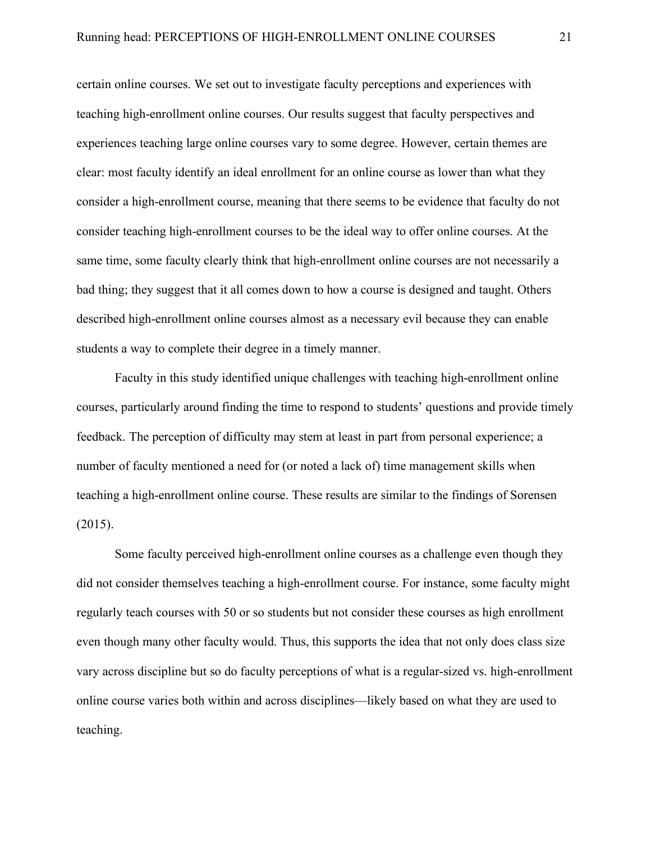certain online courses. We set out to investigate faculty perceptions and experiences with teaching high-enrollment online courses. Our results suggest that faculty perspectives and experiences teaching large online courses vary to some degree. However, certain themes are clear: most faculty identify an ideal enrollment for an online course as lower than what they consider a high-enrollment course, meaning that there seems to be evidence that faculty do not consider teaching high-enrollment courses to be the ideal way to offer online courses. At the same time, some faculty clearly think that high-enrollment online courses are not necessarily a bad thing; they suggest that it all comes down to how a course is designed and taught. Others described high-enrollment online courses almost as a necessary evil because they can enable students a way to complete their degree in a timely manner.

Faculty in this study identified unique challenges with teaching high-enrollment online courses, particularly around finding the time to respond to students' questions and provide timely feedback. The perception of difficulty may stem at least in part from personal experience; a number of faculty mentioned a need for (or noted a lack of) time management skills when teaching a high-enrollment online course. These results are similar to the findings of Sorensen (2015).

Some faculty perceived high-enrollment online courses as a challenge even though they did not consider themselves teaching a high-enrollment course. For instance, some faculty might regularly teach courses with 50 or so students but not consider these courses as high enrollment even though many other faculty would. Thus, this supports the idea that not only does class size vary across discipline but so do faculty perceptions of what is a regular-sized vs. high-enrollment online course varies both within and across disciplines—likely based on what they are used to teaching.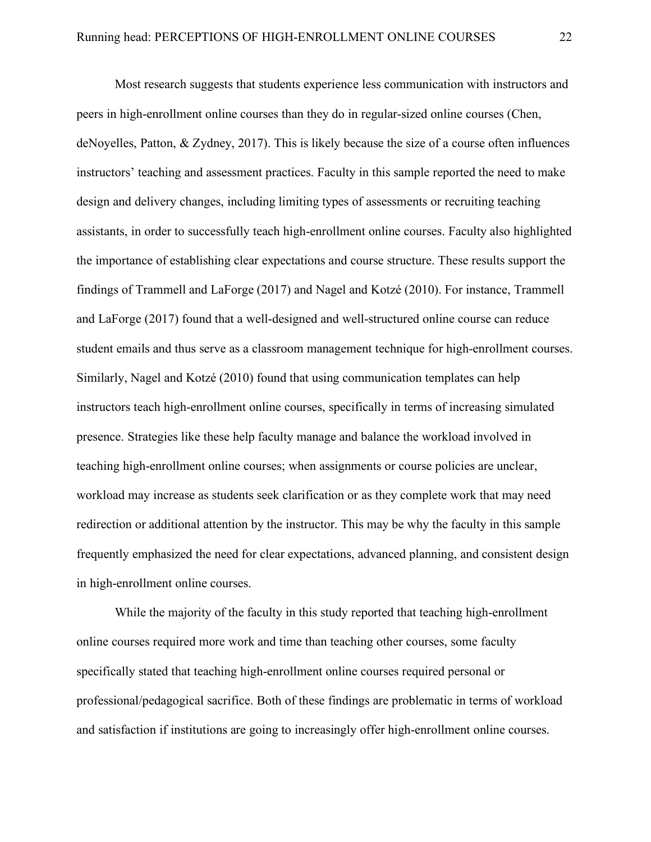Most research suggests that students experience less communication with instructors and peers in high-enrollment online courses than they do in regular-sized online courses (Chen, deNoyelles, Patton, & Zydney, 2017). This is likely because the size of a course often influences instructors' teaching and assessment practices. Faculty in this sample reported the need to make design and delivery changes, including limiting types of assessments or recruiting teaching assistants, in order to successfully teach high-enrollment online courses. Faculty also highlighted the importance of establishing clear expectations and course structure. These results support the findings of Trammell and LaForge (2017) and Nagel and Kotzé (2010). For instance, Trammell and LaForge (2017) found that a well-designed and well-structured online course can reduce student emails and thus serve as a classroom management technique for high-enrollment courses. Similarly, Nagel and Kotzé (2010) found that using communication templates can help instructors teach high-enrollment online courses, specifically in terms of increasing simulated presence. Strategies like these help faculty manage and balance the workload involved in teaching high-enrollment online courses; when assignments or course policies are unclear, workload may increase as students seek clarification or as they complete work that may need redirection or additional attention by the instructor. This may be why the faculty in this sample frequently emphasized the need for clear expectations, advanced planning, and consistent design in high-enrollment online courses.

While the majority of the faculty in this study reported that teaching high-enrollment online courses required more work and time than teaching other courses, some faculty specifically stated that teaching high-enrollment online courses required personal or professional/pedagogical sacrifice. Both of these findings are problematic in terms of workload and satisfaction if institutions are going to increasingly offer high-enrollment online courses.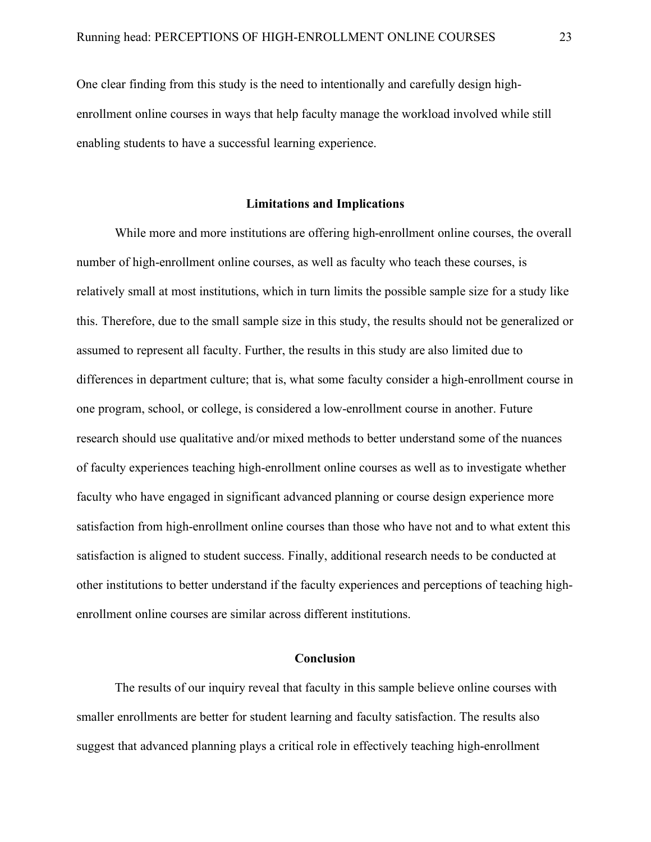One clear finding from this study is the need to intentionally and carefully design highenrollment online courses in ways that help faculty manage the workload involved while still enabling students to have a successful learning experience.

#### **Limitations and Implications**

While more and more institutions are offering high-enrollment online courses, the overall number of high-enrollment online courses, as well as faculty who teach these courses, is relatively small at most institutions, which in turn limits the possible sample size for a study like this. Therefore, due to the small sample size in this study, the results should not be generalized or assumed to represent all faculty. Further, the results in this study are also limited due to differences in department culture; that is, what some faculty consider a high-enrollment course in one program, school, or college, is considered a low-enrollment course in another. Future research should use qualitative and/or mixed methods to better understand some of the nuances of faculty experiences teaching high-enrollment online courses as well as to investigate whether faculty who have engaged in significant advanced planning or course design experience more satisfaction from high-enrollment online courses than those who have not and to what extent this satisfaction is aligned to student success. Finally, additional research needs to be conducted at other institutions to better understand if the faculty experiences and perceptions of teaching highenrollment online courses are similar across different institutions.

## **Conclusion**

The results of our inquiry reveal that faculty in this sample believe online courses with smaller enrollments are better for student learning and faculty satisfaction. The results also suggest that advanced planning plays a critical role in effectively teaching high-enrollment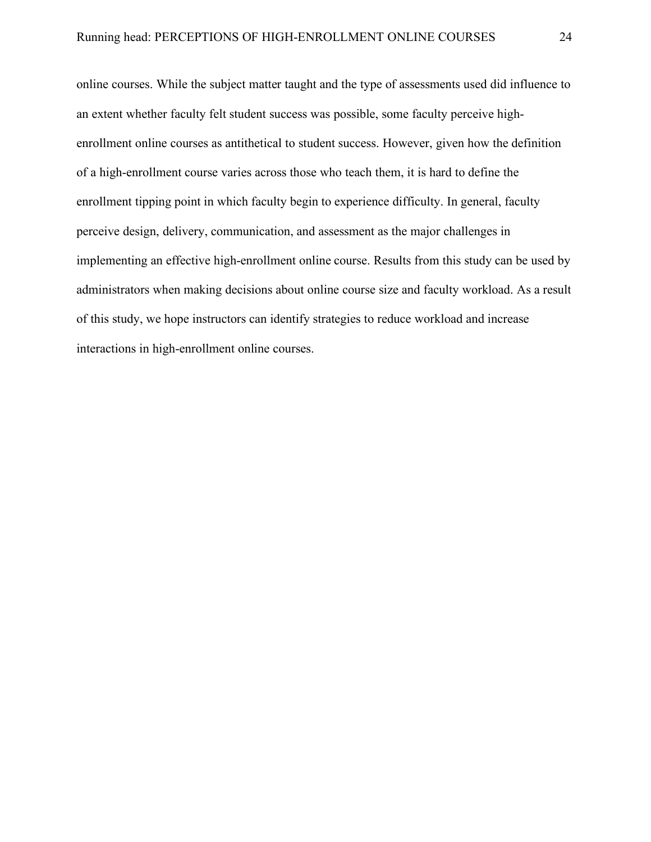online courses. While the subject matter taught and the type of assessments used did influence to an extent whether faculty felt student success was possible, some faculty perceive highenrollment online courses as antithetical to student success. However, given how the definition of a high-enrollment course varies across those who teach them, it is hard to define the enrollment tipping point in which faculty begin to experience difficulty. In general, faculty perceive design, delivery, communication, and assessment as the major challenges in implementing an effective high-enrollment online course. Results from this study can be used by administrators when making decisions about online course size and faculty workload. As a result of this study, we hope instructors can identify strategies to reduce workload and increase interactions in high-enrollment online courses.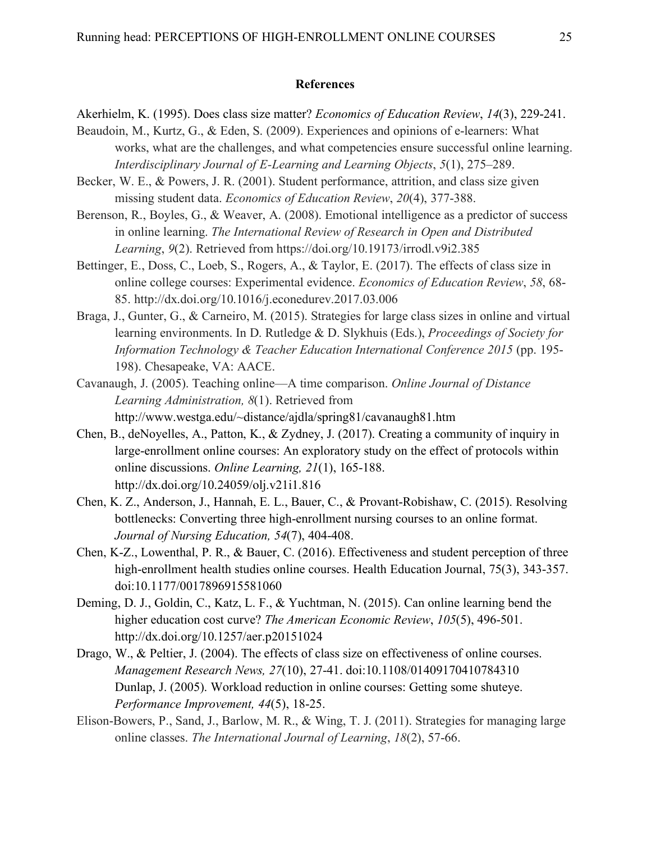#### **References**

Akerhielm, K. (1995). Does class size matter? *Economics of Education Review*, *14*(3), 229-241.

- Beaudoin, M., Kurtz, G., & Eden, S. (2009). Experiences and opinions of e-learners: What works, what are the challenges, and what competencies ensure successful online learning. *Interdisciplinary Journal of E-Learning and Learning Objects*, *5*(1), 275–289.
- Becker, W. E., & Powers, J. R. (2001). Student performance, attrition, and class size given missing student data. *Economics of Education Review*, *20*(4), 377-388.
- Berenson, R., Boyles, G., & Weaver, A. (2008). Emotional intelligence as a predictor of success in online learning. *The International Review of Research in Open and Distributed Learning*, *9*(2). Retrieved from https://doi.org/10.19173/irrodl.v9i2.385
- Bettinger, E., Doss, C., Loeb, S., Rogers, A., & Taylor, E. (2017). The effects of class size in online college courses: Experimental evidence. *Economics of Education Review*, *58*, 68- 85. http://dx.doi.org/10.1016/j.econedurev.2017.03.006
- Braga, J., Gunter, G., & Carneiro, M. (2015). Strategies for large class sizes in online and virtual learning environments. In D. Rutledge & D. Slykhuis (Eds.), *Proceedings of Society for Information Technology & Teacher Education International Conference 2015* (pp. 195- 198). Chesapeake, VA: AACE.
- Cavanaugh, J. (2005). Teaching online—A time comparison. *Online Journal of Distance Learning Administration, 8*(1). Retrieved from http://www.westga.edu/~distance/ajdla/spring81/cavanaugh81.htm
- Chen, B., deNoyelles, A., Patton, K., & Zydney, J. (2017). Creating a community of inquiry in large-enrollment online courses: An exploratory study on the effect of protocols within online discussions. *Online Learning, 21*(1), 165-188. http://dx.doi.org/10.24059/olj.v21i1.816
- Chen, K. Z., Anderson, J., Hannah, E. L., Bauer, C., & Provant-Robishaw, C. (2015). Resolving bottlenecks: Converting three high-enrollment nursing courses to an online format. *Journal of Nursing Education, 54*(7), 404-408.
- Chen, K-Z., Lowenthal, P. R., & Bauer, C. (2016). Effectiveness and student perception of three high-enrollment health studies online courses. Health Education Journal, 75(3), 343-357. doi:10.1177/0017896915581060
- Deming, D. J., Goldin, C., Katz, L. F., & Yuchtman, N. (2015). Can online learning bend the higher education cost curve? *The American Economic Review*, *105*(5), 496-501. http://dx.doi.org/10.1257/aer.p20151024
- Drago, W., & Peltier, J. (2004). The effects of class size on effectiveness of online courses. *Management Research News, 27*(10), 27-41. doi:10.1108/01409170410784310 Dunlap, J. (2005). Workload reduction in online courses: Getting some shuteye. *Performance Improvement, 44*(5), 18-25.
- Elison-Bowers, P., Sand, J., Barlow, M. R., & Wing, T. J. (2011). Strategies for managing large online classes. *The International Journal of Learning*, *18*(2), 57-66.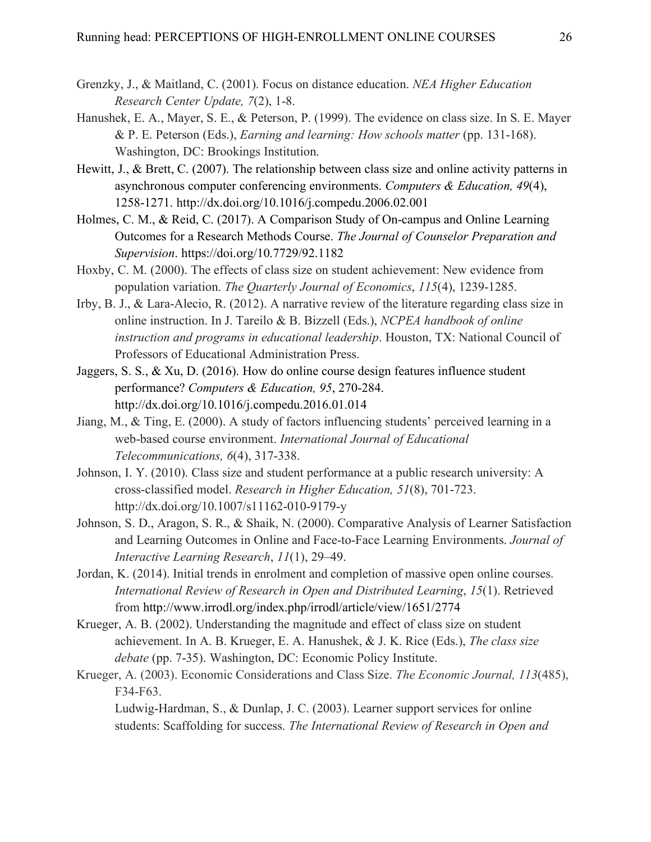- Grenzky, J., & Maitland, C. (2001). Focus on distance education. *NEA Higher Education Research Center Update, 7*(2), 1-8.
- Hanushek, E. A., Mayer, S. E., & Peterson, P. (1999). The evidence on class size. In S. E. Mayer & P. E. Peterson (Eds.), *Earning and learning: How schools matter* (pp. 131-168). Washington, DC: Brookings Institution.
- Hewitt, J., & Brett, C. (2007). The relationship between class size and online activity patterns in asynchronous computer conferencing environments. *Computers & Education, 49*(4), 1258-1271. http://dx.doi.org/10.1016/j.compedu.2006.02.001
- Holmes, C. M., & Reid, C. (2017). A Comparison Study of On-campus and Online Learning Outcomes for a Research Methods Course. *The Journal of Counselor Preparation and Supervision*. https://doi.org/10.7729/92.1182
- Hoxby, C. M. (2000). The effects of class size on student achievement: New evidence from population variation. *The Quarterly Journal of Economics*, *115*(4), 1239-1285.
- Irby, B. J., & Lara-Alecio, R. (2012). A narrative review of the literature regarding class size in online instruction. In J. Tareilo & B. Bizzell (Eds.), *NCPEA handbook of online instruction and programs in educational leadership*. Houston, TX: National Council of Professors of Educational Administration Press.
- Jaggers, S. S., & Xu, D. (2016). How do online course design features influence student performance? *Computers & Education, 95*, 270-284. http://dx.doi.org/10.1016/j.compedu.2016.01.014
- Jiang, M., & Ting, E. (2000). A study of factors influencing students' perceived learning in a web-based course environment. *International Journal of Educational Telecommunications, 6*(4), 317-338.
- Johnson, I. Y. (2010). Class size and student performance at a public research university: A cross-classified model. *Research in Higher Education, 51*(8), 701-723. http://dx.doi.org/10.1007/s11162-010-9179-y
- Johnson, S. D., Aragon, S. R., & Shaik, N. (2000). Comparative Analysis of Learner Satisfaction and Learning Outcomes in Online and Face-to-Face Learning Environments. *Journal of Interactive Learning Research*, *11*(1), 29–49.
- Jordan, K. (2014). Initial trends in enrolment and completion of massive open online courses. *International Review of Research in Open and Distributed Learning*, *15*(1). Retrieved from http://www.irrodl.org/index.php/irrodl/article/view/1651/2774
- Krueger, A. B. (2002). Understanding the magnitude and effect of class size on student achievement. In A. B. Krueger, E. A. Hanushek, & J. K. Rice (Eds.), *The class size debate* (pp. 7-35). Washington, DC: Economic Policy Institute.
- Krueger, A. (2003). Economic Considerations and Class Size. *The Economic Journal, 113*(485), F34-F63.

Ludwig-Hardman, S., & Dunlap, J. C. (2003). Learner support services for online students: Scaffolding for success. *The International Review of Research in Open and*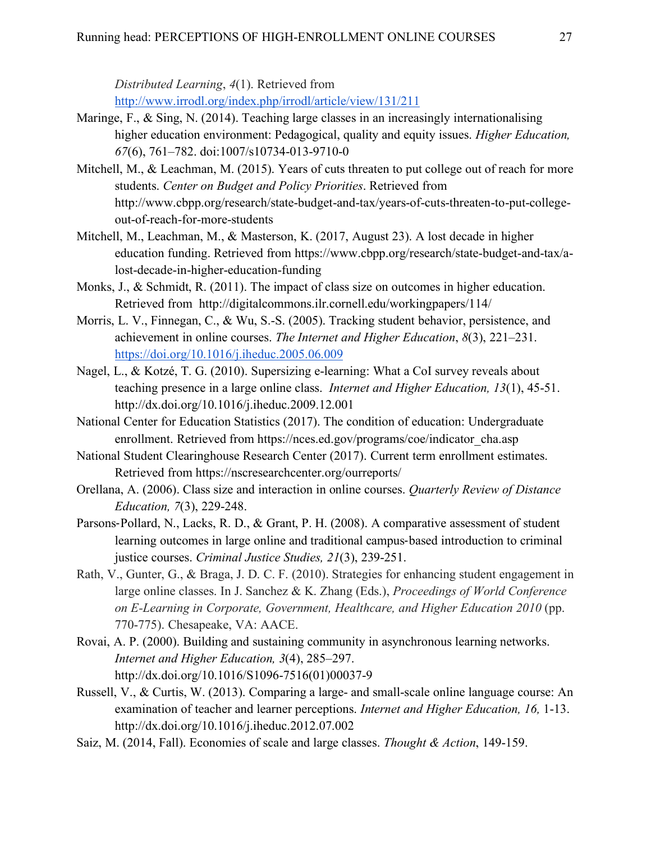*Distributed Learning*, *4*(1). Retrieved from

http://www.irrodl.org/index.php/irrodl/article/view/131/211

- Maringe, F., & Sing, N. (2014). Teaching large classes in an increasingly internationalising higher education environment: Pedagogical, quality and equity issues. *Higher Education, 67*(6), 761–782. doi:1007/s10734-013-9710-0
- Mitchell, M., & Leachman, M. (2015). Years of cuts threaten to put college out of reach for more students. *Center on Budget and Policy Priorities*. Retrieved from http://www.cbpp.org/research/state-budget-and-tax/years-of-cuts-threaten-to-put-collegeout-of-reach-for-more-students
- Mitchell, M., Leachman, M., & Masterson, K. (2017, August 23). A lost decade in higher education funding. Retrieved from https://www.cbpp.org/research/state-budget-and-tax/alost-decade-in-higher-education-funding
- Monks, J., & Schmidt, R. (2011). The impact of class size on outcomes in higher education. Retrieved from http://digitalcommons.ilr.cornell.edu/workingpapers/114/
- Morris, L. V., Finnegan, C., & Wu, S.-S. (2005). Tracking student behavior, persistence, and achievement in online courses. *The Internet and Higher Education*, *8*(3), 221–231. https://doi.org/10.1016/j.iheduc.2005.06.009
- Nagel, L., & Kotzé, T. G. (2010). Supersizing e-learning: What a CoI survey reveals about teaching presence in a large online class. *Internet and Higher Education, 13*(1), 45-51. http://dx.doi.org/10.1016/j.iheduc.2009.12.001
- National Center for Education Statistics (2017). The condition of education: Undergraduate enrollment. Retrieved from https://nces.ed.gov/programs/coe/indicator\_cha.asp
- National Student Clearinghouse Research Center (2017). Current term enrollment estimates. Retrieved from https://nscresearchcenter.org/ourreports/
- Orellana, A. (2006). Class size and interaction in online courses. *Quarterly Review of Distance Education, 7*(3), 229-248.
- Parsons-Pollard, N., Lacks, R. D., & Grant, P. H. (2008). A comparative assessment of student learning outcomes in large online and traditional campus-based introduction to criminal justice courses. *Criminal Justice Studies, 21*(3), 239-251.
- Rath, V., Gunter, G., & Braga, J. D. C. F. (2010). Strategies for enhancing student engagement in large online classes. In J. Sanchez & K. Zhang (Eds.), *Proceedings of World Conference on E-Learning in Corporate, Government, Healthcare, and Higher Education 2010* (pp. 770-775). Chesapeake, VA: AACE.
- Rovai, A. P. (2000). Building and sustaining community in asynchronous learning networks. *Internet and Higher Education, 3*(4), 285–297. http://dx.doi.org/10.1016/S1096-7516(01)00037-9
- Russell, V., & Curtis, W. (2013). Comparing a large- and small-scale online language course: An examination of teacher and learner perceptions. *Internet and Higher Education, 16,* 1-13. http://dx.doi.org/10.1016/j.iheduc.2012.07.002
- Saiz, M. (2014, Fall). Economies of scale and large classes. *Thought & Action*, 149-159.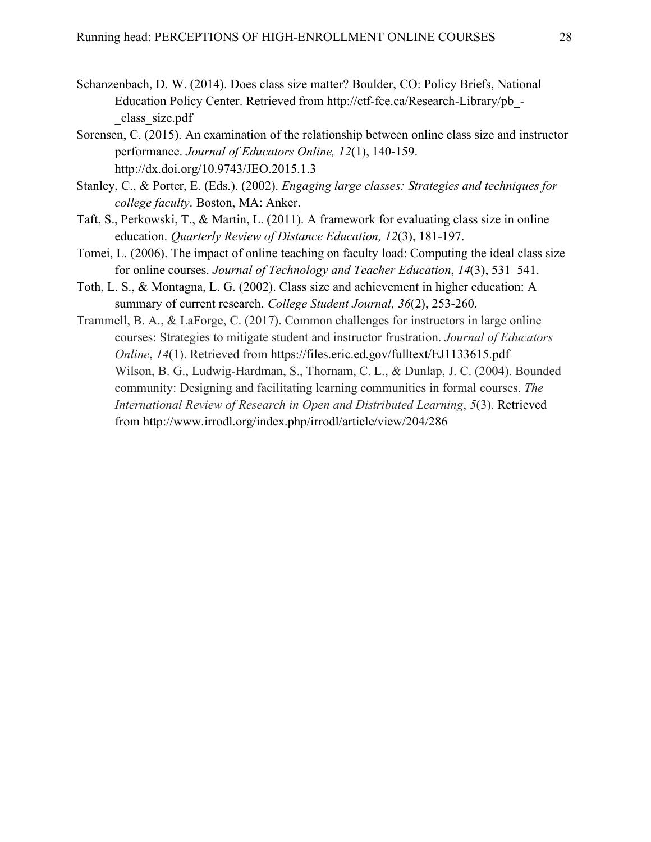- Schanzenbach, D. W. (2014). Does class size matter? Boulder, CO: Policy Briefs, National Education Policy Center. Retrieved from http://ctf-fce.ca/Research-Library/pb\_- \_class\_size.pdf
- Sorensen, C. (2015). An examination of the relationship between online class size and instructor performance. *Journal of Educators Online, 12*(1), 140-159. http://dx.doi.org/10.9743/JEO.2015.1.3
- Stanley, C., & Porter, E. (Eds.). (2002). *Engaging large classes: Strategies and techniques for college faculty*. Boston, MA: Anker.
- Taft, S., Perkowski, T., & Martin, L. (2011). A framework for evaluating class size in online education. *Quarterly Review of Distance Education, 12*(3), 181-197.
- Tomei, L. (2006). The impact of online teaching on faculty load: Computing the ideal class size for online courses. *Journal of Technology and Teacher Education*, *14*(3), 531–541.
- Toth, L. S., & Montagna, L. G. (2002). Class size and achievement in higher education: A summary of current research. *College Student Journal, 36*(2), 253-260.
- Trammell, B. A., & LaForge, C. (2017). Common challenges for instructors in large online courses: Strategies to mitigate student and instructor frustration. *Journal of Educators Online*, *14*(1). Retrieved from https://files.eric.ed.gov/fulltext/EJ1133615.pdf Wilson, B. G., Ludwig-Hardman, S., Thornam, C. L., & Dunlap, J. C. (2004). Bounded community: Designing and facilitating learning communities in formal courses. *The International Review of Research in Open and Distributed Learning*, *5*(3). Retrieved from http://www.irrodl.org/index.php/irrodl/article/view/204/286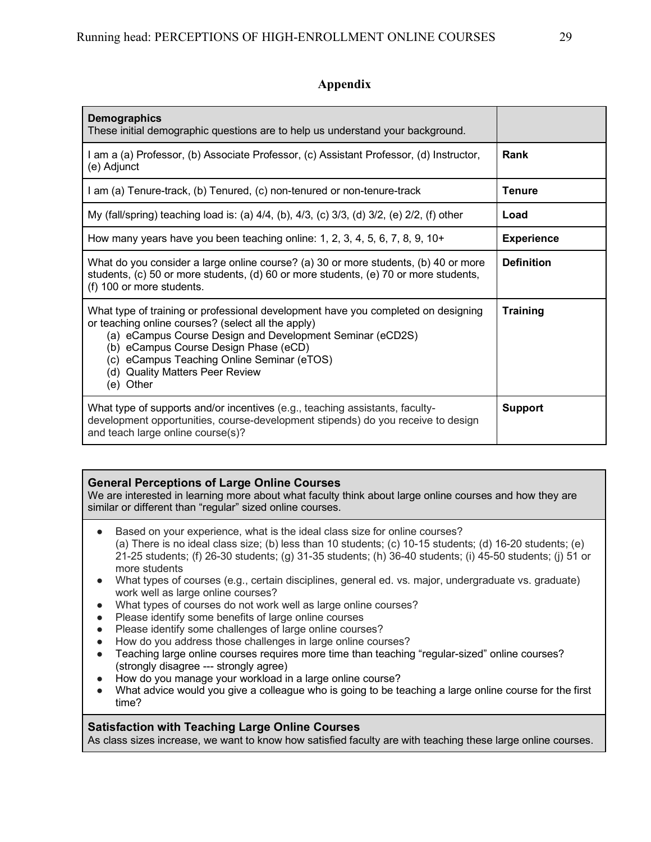| <b>Demographics</b><br>These initial demographic questions are to help us understand your background.                                                                                                                                                                                                                                       |                   |
|---------------------------------------------------------------------------------------------------------------------------------------------------------------------------------------------------------------------------------------------------------------------------------------------------------------------------------------------|-------------------|
| I am a (a) Professor, (b) Associate Professor, (c) Assistant Professor, (d) Instructor,<br>(e) Adjunct                                                                                                                                                                                                                                      | Rank              |
| I am (a) Tenure-track, (b) Tenured, (c) non-tenured or non-tenure-track                                                                                                                                                                                                                                                                     | <b>Tenure</b>     |
| My (fall/spring) teaching load is: (a) 4/4, (b), 4/3, (c) 3/3, (d) 3/2, (e) 2/2, (f) other                                                                                                                                                                                                                                                  | Load              |
| How many years have you been teaching online: 1, 2, 3, 4, 5, 6, 7, 8, 9, 10+                                                                                                                                                                                                                                                                | <b>Experience</b> |
| What do you consider a large online course? (a) 30 or more students, (b) 40 or more<br>students, (c) 50 or more students, (d) 60 or more students, (e) 70 or more students,<br>(f) 100 or more students.                                                                                                                                    | <b>Definition</b> |
| What type of training or professional development have you completed on designing<br>or teaching online courses? (select all the apply)<br>(a) eCampus Course Design and Development Seminar (eCD2S)<br>(b) eCampus Course Design Phase (eCD)<br>(c) eCampus Teaching Online Seminar (eTOS)<br>(d) Quality Matters Peer Review<br>(e) Other | <b>Training</b>   |
| What type of supports and/or incentives (e.g., teaching assistants, faculty-<br>development opportunities, course-development stipends) do you receive to design<br>and teach large online course(s)?                                                                                                                                       | <b>Support</b>    |

## **Appendix**

### **General Perceptions of Large Online Courses**

We are interested in learning more about what faculty think about large online courses and how they are similar or different than "regular" sized online courses.

- Based on your experience, what is the ideal class size for online courses? (a) There is no ideal class size; (b) less than 10 students; (c) 10-15 students; (d) 16-20 students; (e) 21-25 students; (f) 26-30 students; (g) 31-35 students; (h) 36-40 students; (i) 45-50 students; (j) 51 or more students
- What types of courses (e.g., certain disciplines, general ed. vs. major, undergraduate vs. graduate) work well as large online courses?
- What types of courses do not work well as large online courses?
- Please identify some benefits of large online courses
- Please identify some challenges of large online courses?
- How do you address those challenges in large online courses?
- Teaching large online courses requires more time than teaching "regular-sized" online courses? (strongly disagree --- strongly agree)
- How do you manage your workload in a large online course?
- What advice would you give a colleague who is going to be teaching a large online course for the first time?

### **Satisfaction with Teaching Large Online Courses**

As class sizes increase, we want to know how satisfied faculty are with teaching these large online courses.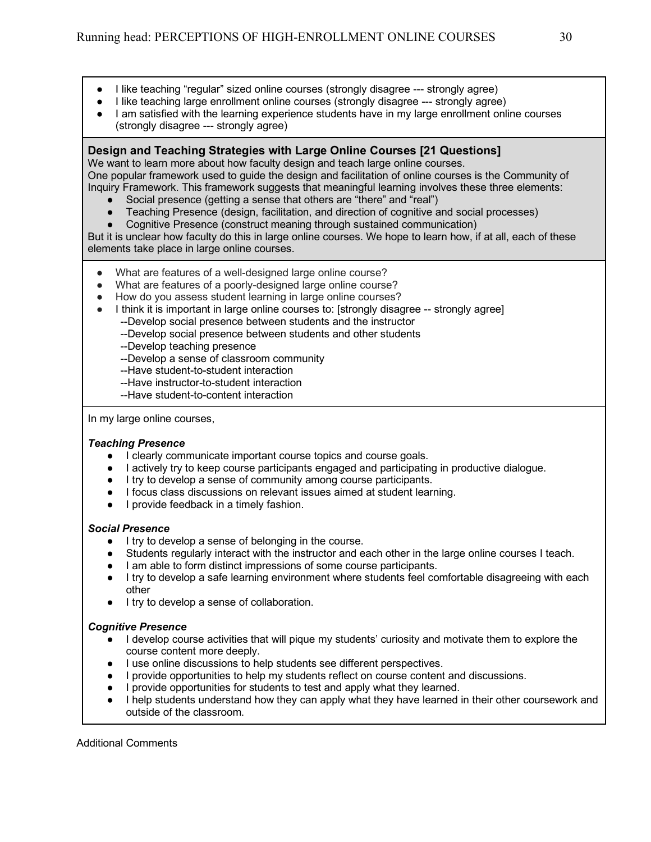- I like teaching "regular" sized online courses (strongly disagree --- strongly agree)
- I like teaching large enrollment online courses (strongly disagree --- strongly agree)
- I am satisfied with the learning experience students have in my large enrollment online courses (strongly disagree --- strongly agree)

## **Design and Teaching Strategies with Large Online Courses [21 Questions]**

We want to learn more about how faculty design and teach large online courses. One popular framework used to guide the design and facilitation of online courses is the Community of Inquiry Framework. This framework suggests that meaningful learning involves these three elements:

- Social presence (getting a sense that others are "there" and "real")
- Teaching Presence (design, facilitation, and direction of cognitive and social processes)
- Cognitive Presence (construct meaning through sustained communication)

But it is unclear how faculty do this in large online courses. We hope to learn how, if at all, each of these elements take place in large online courses.

- What are features of a well-designed large online course?
- What are features of a poorly-designed large online course?
- How do you assess student learning in large online courses?
- I think it is important in large online courses to: [strongly disagree -- strongly agree]
	- --Develop social presence between students and the instructor
	- --Develop social presence between students and other students
	- --Develop teaching presence
	- --Develop a sense of classroom community
	- --Have student-to-student interaction
	- --Have instructor-to-student interaction
	- --Have student-to-content interaction

In my large online courses,

### *Teaching Presence*

- I clearly communicate important course topics and course goals.
- I actively try to keep course participants engaged and participating in productive dialogue.
- I try to develop a sense of community among course participants.
- I focus class discussions on relevant issues aimed at student learning.
- I provide feedback in a timely fashion.

### *Social Presence*

- I try to develop a sense of belonging in the course.
- Students regularly interact with the instructor and each other in the large online courses I teach.
- I am able to form distinct impressions of some course participants.
- I try to develop a safe learning environment where students feel comfortable disagreeing with each other
- I try to develop a sense of collaboration.

### *Cognitive Presence*

- I develop course activities that will pique my students' curiosity and motivate them to explore the course content more deeply.
- I use online discussions to help students see different perspectives.
- I provide opportunities to help my students reflect on course content and discussions.
- I provide opportunities for students to test and apply what they learned.
- I help students understand how they can apply what they have learned in their other coursework and outside of the classroom.

Additional Comments